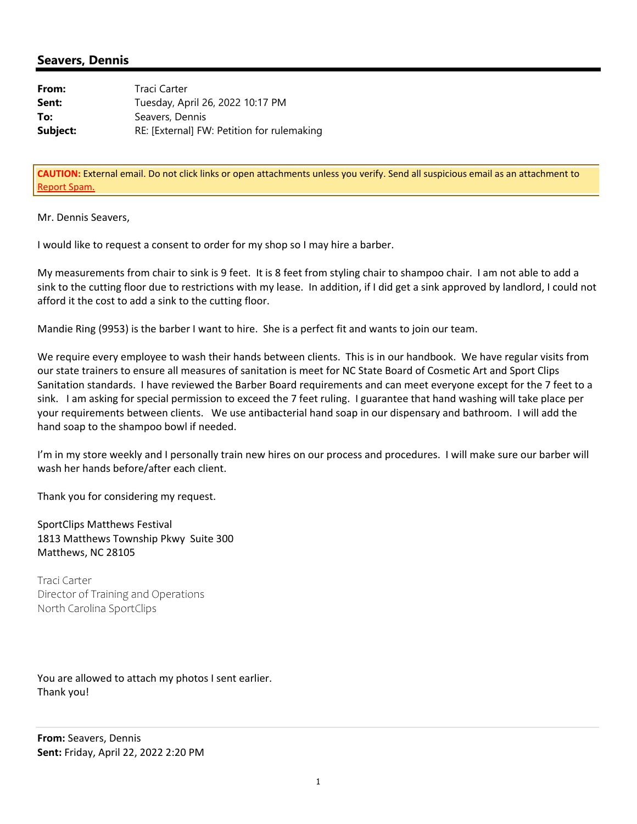## **Seavers, Dennis**

| From:    | Traci Carter                               |
|----------|--------------------------------------------|
| Sent:    | Tuesday, April 26, 2022 10:17 PM           |
| To:      | Seavers, Dennis                            |
| Subject: | RE: [External] FW: Petition for rulemaking |

**CAUTION:** External email. Do not click links or open attachments unless you verify. Send all suspicious email as an attachment to Report Spam.

Mr. Dennis Seavers,

I would like to request a consent to order for my shop so I may hire a barber.

My measurements from chair to sink is 9 feet. It is 8 feet from styling chair to shampoo chair. I am not able to add a sink to the cutting floor due to restrictions with my lease. In addition, if I did get a sink approved by landlord, I could not afford it the cost to add a sink to the cutting floor.

Mandie Ring (9953) is the barber I want to hire. She is a perfect fit and wants to join our team.

We require every employee to wash their hands between clients. This is in our handbook. We have regular visits from our state trainers to ensure all measures of sanitation is meet for NC State Board of Cosmetic Art and Sport Clips Sanitation standards. I have reviewed the Barber Board requirements and can meet everyone except for the 7 feet to a sink. I am asking for special permission to exceed the 7 feet ruling. I guarantee that hand washing will take place per your requirements between clients. We use antibacterial hand soap in our dispensary and bathroom. I will add the hand soap to the shampoo bowl if needed.

I'm in my store weekly and I personally train new hires on our process and procedures. I will make sure our barber will wash her hands before/after each client.

Thank you for considering my request.

SportClips Matthews Festival 1813 Matthews Township Pkwy Suite 300 Matthews, NC 28105

Traci Carter Director of Training and Operations North Carolina SportClips

You are allowed to attach my photos I sent earlier. Thank you!

**From:** Seavers, Dennis **Sent:** Friday, April 22, 2022 2:20 PM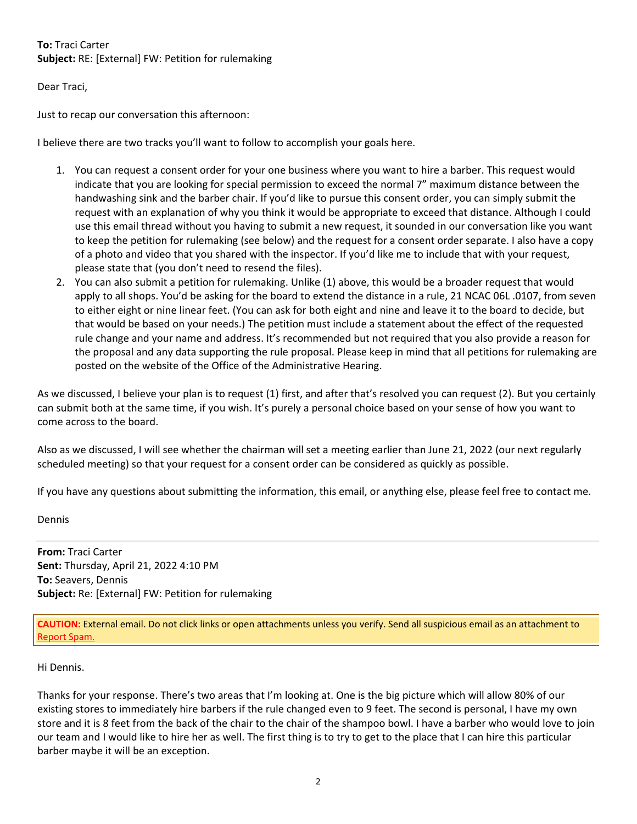## **To:** Traci Carter **Subject:** RE: [External] FW: Petition for rulemaking

Dear Traci,

Just to recap our conversation this afternoon:

I believe there are two tracks you'll want to follow to accomplish your goals here.

- 1. You can request a consent order for your one business where you want to hire a barber. This request would indicate that you are looking for special permission to exceed the normal 7" maximum distance between the handwashing sink and the barber chair. If you'd like to pursue this consent order, you can simply submit the request with an explanation of why you think it would be appropriate to exceed that distance. Although I could use this email thread without you having to submit a new request, it sounded in our conversation like you want to keep the petition for rulemaking (see below) and the request for a consent order separate. I also have a copy of a photo and video that you shared with the inspector. If you'd like me to include that with your request, please state that (you don't need to resend the files).
- 2. You can also submit a petition for rulemaking. Unlike (1) above, this would be a broader request that would apply to all shops. You'd be asking for the board to extend the distance in a rule, 21 NCAC 06L .0107, from seven to either eight or nine linear feet. (You can ask for both eight and nine and leave it to the board to decide, but that would be based on your needs.) The petition must include a statement about the effect of the requested rule change and your name and address. It's recommended but not required that you also provide a reason for the proposal and any data supporting the rule proposal. Please keep in mind that all petitions for rulemaking are posted on the website of the Office of the Administrative Hearing.

As we discussed, I believe your plan is to request (1) first, and after that's resolved you can request (2). But you certainly can submit both at the same time, if you wish. It's purely a personal choice based on your sense of how you want to come across to the board.

Also as we discussed, I will see whether the chairman will set a meeting earlier than June 21, 2022 (our next regularly scheduled meeting) so that your request for a consent order can be considered as quickly as possible.

If you have any questions about submitting the information, this email, or anything else, please feel free to contact me.

Dennis

**From:** Traci Carter **Sent:** Thursday, April 21, 2022 4:10 PM **To:** Seavers, Dennis **Subject:** Re: [External] FW: Petition for rulemaking

**CAUTION:** External email. Do not click links or open attachments unless you verify. Send all suspicious email as an attachment to Report Spam.

## Hi Dennis.

Thanks for your response. There's two areas that I'm looking at. One is the big picture which will allow 80% of our existing stores to immediately hire barbers if the rule changed even to 9 feet. The second is personal, I have my own store and it is 8 feet from the back of the chair to the chair of the shampoo bowl. I have a barber who would love to join our team and I would like to hire her as well. The first thing is to try to get to the place that I can hire this particular barber maybe it will be an exception.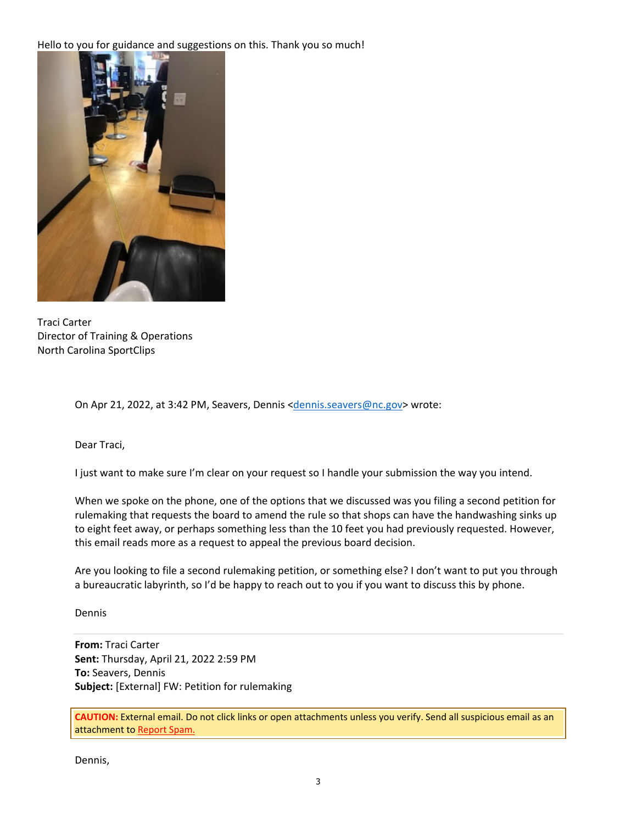Hello to you for guidance and suggestions on this. Thank you so much!



Traci Carter Director of Training & Operations North Carolina SportClips

On Apr 21, 2022, at 3:42 PM, Seavers, Dennis <dennis.seavers@nc.gov> wrote:

Dear Traci,

I just want to make sure I'm clear on your request so I handle your submission the way you intend.

When we spoke on the phone, one of the options that we discussed was you filing a second petition for rulemaking that requests the board to amend the rule so that shops can have the handwashing sinks up to eight feet away, or perhaps something less than the 10 feet you had previously requested. However, this email reads more as a request to appeal the previous board decision.

Are you looking to file a second rulemaking petition, or something else? I don't want to put you through a bureaucratic labyrinth, so I'd be happy to reach out to you if you want to discuss this by phone.

Dennis

**From:** Traci Carter **Sent:** Thursday, April 21, 2022 2:59 PM **To:** Seavers, Dennis **Subject:** [External] FW: Petition for rulemaking

**CAUTION:** External email. Do not click links or open attachments unless you verify. Send all suspicious email as an attachment to Report Spam.

Dennis,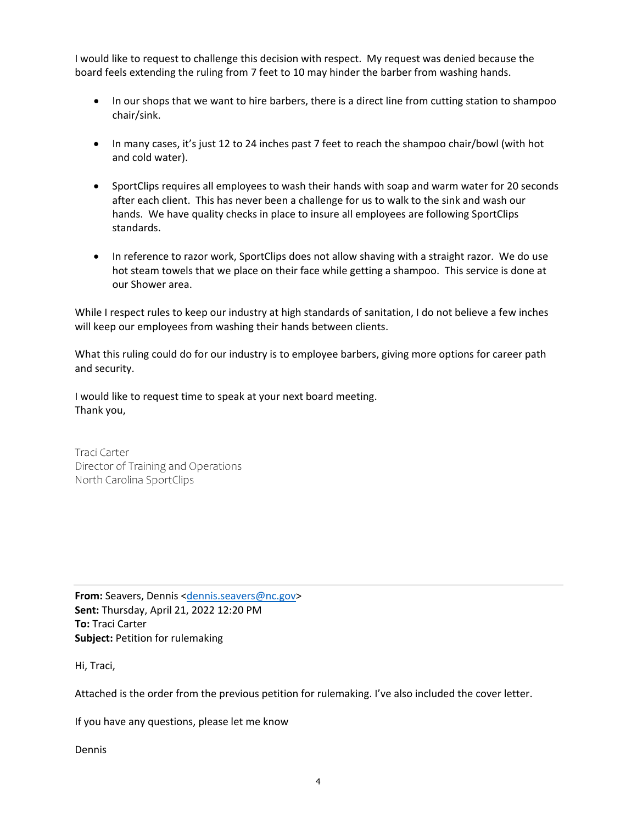I would like to request to challenge this decision with respect. My request was denied because the board feels extending the ruling from 7 feet to 10 may hinder the barber from washing hands.

- In our shops that we want to hire barbers, there is a direct line from cutting station to shampoo chair/sink.
- In many cases, it's just 12 to 24 inches past 7 feet to reach the shampoo chair/bowl (with hot and cold water).
- SportClips requires all employees to wash their hands with soap and warm water for 20 seconds after each client. This has never been a challenge for us to walk to the sink and wash our hands. We have quality checks in place to insure all employees are following SportClips standards.
- In reference to razor work, SportClips does not allow shaving with a straight razor. We do use hot steam towels that we place on their face while getting a shampoo. This service is done at our Shower area.

While I respect rules to keep our industry at high standards of sanitation, I do not believe a few inches will keep our employees from washing their hands between clients.

What this ruling could do for our industry is to employee barbers, giving more options for career path and security.

I would like to request time to speak at your next board meeting. Thank you,

Traci Carter Director of Training and Operations North Carolina SportClips

**From:** Seavers, Dennis <dennis.seavers@nc.gov> **Sent:** Thursday, April 21, 2022 12:20 PM **To:** Traci Carter **Subject:** Petition for rulemaking

Hi, Traci,

Attached is the order from the previous petition for rulemaking. I've also included the cover letter.

If you have any questions, please let me know

Dennis